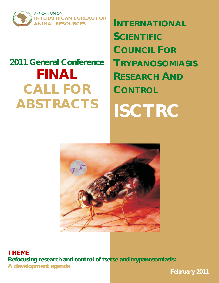

**AFRICAN UNION TERAFRICAN BUREAU FOR NIMAL RESOURCES** 

# **2011 General Conference FINAL CALL FOR ABSTRACTS**

**INTERNATIONAL SCIENTIFIC COUNCIL FOR TRYPANOSOMIASIS RESEARCH AND CONTROL ISCTRC** 



**THEME Refocusing research and control of tsetse and trypanosomiasis: A development agenda**

**February 2011**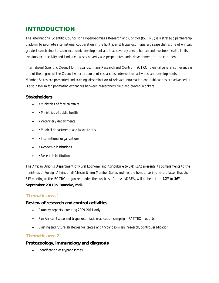# **INTRODUCTION**

The international Scientific Council for Trypanosomiasis Research and Control (ISCTRC) is a strategic partnership platform to promote international cooperation in the fight against trypanosomiasis, a disease that is one of Africa's greatest constraints to socio-economic development and that severely affects human and livestock health, limits livestock productivity and land use, causes poverty and perpetuates underdevelopment on the continent.

International Scientific Council for Trypanosomiasis Research and Control (ISCTRC) biennial general conference is one of the organs of the Council where reports of researches, intervention activities, and developments in Member States are presented and training, dissemination of relevant information and publications are advanced. It is also a forum for promoting exchanges between researchers, field and control workers.

# **Stakeholders**

- • Ministries of foreign affairs
- • Ministries of public health
- • Veterinary departments
- • Medical departments and laboratories
- International organizations
- Academic institutions
- Research institutions

The African Union's Department of Rural Economy and Agriculture (AU/DREA) presents its complements to the ministries of Foreign Affairs of all African Union Member States and has the honour to inform the latter that the 31st meeting of the ISCTRC, organized under the auspices of the AU/DREA, will be held from **12th to 16th September 2011 in Bamako, Mali.** 

# **Thematic area 1**

#### **Review of research and control activities**

- Country reports, covering 2009-2011 only
- Pan-African tsetse and trypanosomiasis eradication campaign (PATTEC) reports
- Existing and future strategies for tsetse and trypanosomiasis research, control/eradication

#### **Thematic area 2**

#### **Protozoology, immunology and diagnosis**

Identification of trypanosomes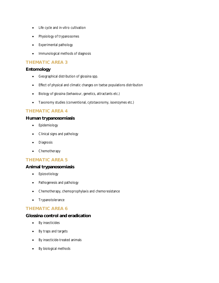- Life cycle and in-vitro cultivation
- Physiology of trypanosomes
- Experimental pathology
- Immunological methods of diagnosis

### **THEMATIC AREA 3**

# **Entomology**

- Geographical distribution of glossina spp.
- Effect of physical and climatic changes on tsetse populations distribution
- Biology of glossina (behaviour, genetics, attractants etc.)
- Taxonomy studies (conventional, cytotaxonomy, isoenzymes etc.)

# **THEMATIC AREA 4**

#### **Human trypanosomiasis**

- Epidemiology
- Clinical signs and pathology
- Diagnosis
- Chemotherapy

#### **THEMATIC AREA 5**

#### **Animal trypanosomiasis**

- Epizootiology
- Pathogenesis and pathology
- Chemotherapy, chemoprophylaxis and chemoresistance
- Trypanotolerance

#### **THEMATIC AREA 6**

#### **Glossina control and eradication**

- By insecticides
- By traps and targets
- By insecticide-treated animals
- By biological methods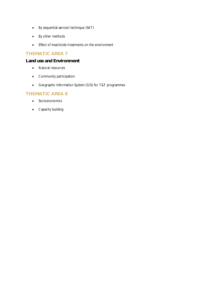- By sequential aerosol technique (SAT)
- By other methods
- Effect of insecticide treatments on the environment

# **THEMATIC AREA 7**

#### **Land use and Environment**

- Natural resources
- Community participation
- Geographic Information System (GIS) for T&T programmes

#### **THEMATIC AREA 8**

- Socioeconomics
- Capacity building